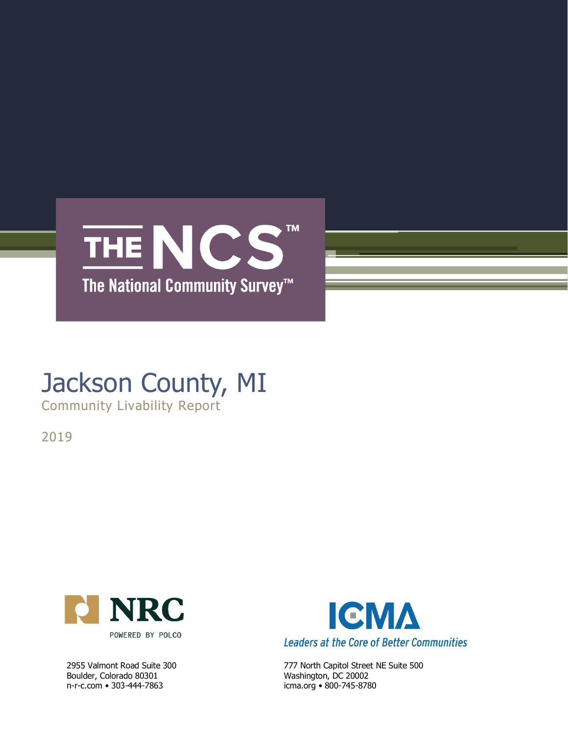

# Jackson County, MI

Community Livability Report

2019



Boulder, Colorado 80301 Washington, DC 20002 n-r-c.com • 303-444-7863 icma.org • 800-745-8780



2955 Valmont Road Suite 300 777 North Capitol Street NE Suite 500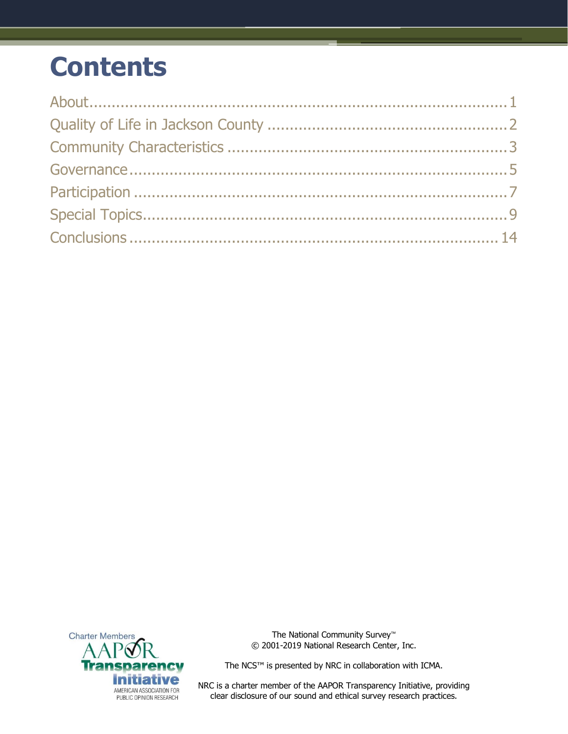## **Contents**



The National Community Survey™ © 2001-2019 National Research Center, Inc.

The NCS™ is presented by NRC in collaboration with ICMA.

NRC is a charter member of the AAPOR Transparency Initiative, providing clear disclosure of our sound and ethical survey research practices.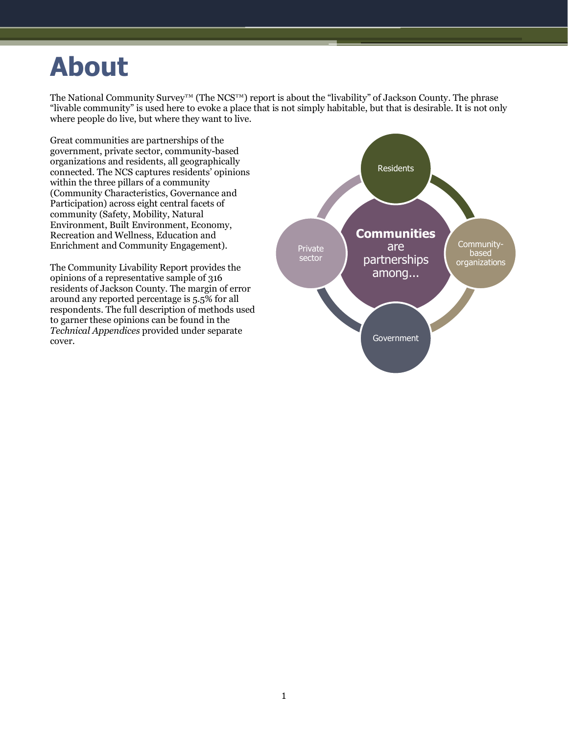## <span id="page-2-0"></span>**About**

The National Community Survey™ (The NCS™) report is about the "livability" of Jackson County. The phrase "livable community" is used here to evoke a place that is not simply habitable, but that is desirable. It is not only where people do live, but where they want to live.

Great communities are partnerships of the government, private sector, community-based organizations and residents, all geographically connected. The NCS captures residents' opinions within the three pillars of a community (Community Characteristics, Governance and Participation) across eight central facets of community (Safety, Mobility, Natural Environment, Built Environment, Economy, Recreation and Wellness, Education and Enrichment and Community Engagement).

The Community Livability Report provides the opinions of a representative sample of 316 residents of Jackson County. The margin of error around any reported percentage is 5.5% for all respondents. The full description of methods used to garner these opinions can be found in the *Technical Appendices* provided under separate cover.

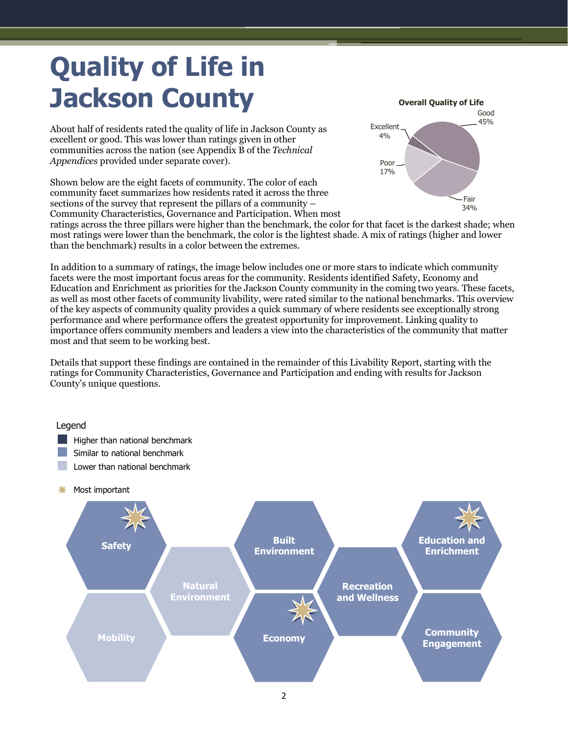# <span id="page-3-0"></span>**Quality of Life in Jackson County**

About half of residents rated the quality of life in Jackson County as excellent or good. This was lower than ratings given in other communities across the nation (see Appendix B of the *Technical Appendices* provided under separate cover).

Shown below are the eight facets of community. The color of each community facet summarizes how residents rated it across the three sections of the survey that represent the pillars of a community – Community Characteristics, Governance and Participation. When most



ratings across the three pillars were higher than the benchmark, the color for that facet is the darkest shade; when most ratings were lower than the benchmark, the color is the lightest shade. A mix of ratings (higher and lower than the benchmark) results in a color between the extremes.

In addition to a summary of ratings, the image below includes one or more stars to indicate which community facets were the most important focus areas for the community. Residents identified Safety, Economy and Education and Enrichment as priorities for the Jackson County community in the coming two years. These facets, as well as most other facets of community livability, were rated similar to the national benchmarks. This overview of the key aspects of community quality provides a quick summary of where residents see exceptionally strong performance and where performance offers the greatest opportunity for improvement. Linking quality to importance offers community members and leaders a view into the characteristics of the community that matter most and that seem to be working best.

Details that support these findings are contained in the remainder of this Livability Report, starting with the ratings for Community Characteristics, Governance and Participation and ending with results for Jackson County's unique questions.

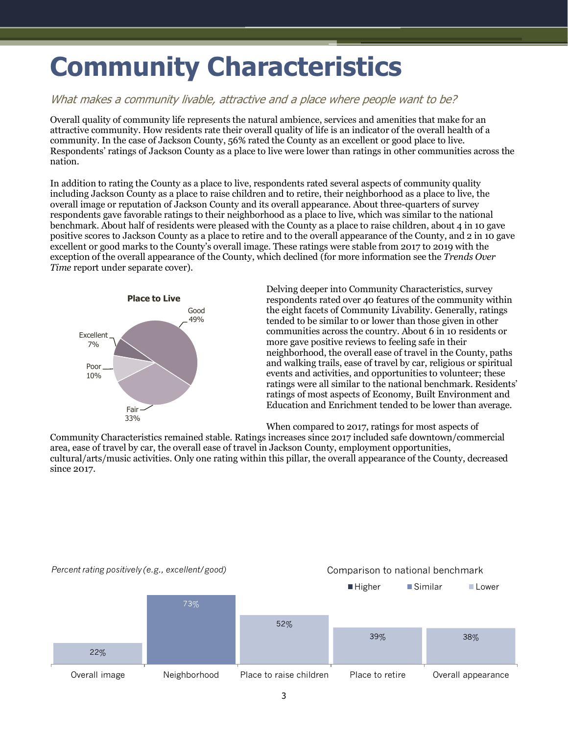## <span id="page-4-0"></span>**Community Characteristics**

### What makes a community livable, attractive and a place where people want to be?

Overall quality of community life represents the natural ambience, services and amenities that make for an attractive community. How residents rate their overall quality of life is an indicator of the overall health of a community. In the case of Jackson County, 56% rated the County as an excellent or good place to live. Respondents' ratings of Jackson County as a place to live were lower than ratings in other communities across the nation.

In addition to rating the County as a place to live, respondents rated several aspects of community quality including Jackson County as a place to raise children and to retire, their neighborhood as a place to live, the overall image or reputation of Jackson County and its overall appearance. About three-quarters of survey respondents gave favorable ratings to their neighborhood as a place to live, which was similar to the national benchmark. About half of residents were pleased with the County as a place to raise children, about 4 in 10 gave positive scores to Jackson County as a place to retire and to the overall appearance of the County, and 2 in 10 gave excellent or good marks to the County's overall image. These ratings were stable from 2017 to 2019 with the exception of the overall appearance of the County, which declined (for more information see the *Trends Over Time* report under separate cover).



Delving deeper into Community Characteristics, survey respondents rated over 40 features of the community within the eight facets of Community Livability. Generally, ratings tended to be similar to or lower than those given in other communities across the country. About 6 in 10 residents or more gave positive reviews to feeling safe in their neighborhood, the overall ease of travel in the County, paths and walking trails, ease of travel by car, religious or spiritual events and activities, and opportunities to volunteer; these ratings were all similar to the national benchmark. Residents' ratings of most aspects of Economy, Built Environment and Education and Enrichment tended to be lower than average.

When compared to 2017, ratings for most aspects of

Community Characteristics remained stable. Ratings increases since 2017 included safe downtown/commercial area, ease of travel by car, the overall ease of travel in Jackson County, employment opportunities, cultural/arts/music activities. Only one rating within this pillar, the overall appearance of the County, decreased since 2017.

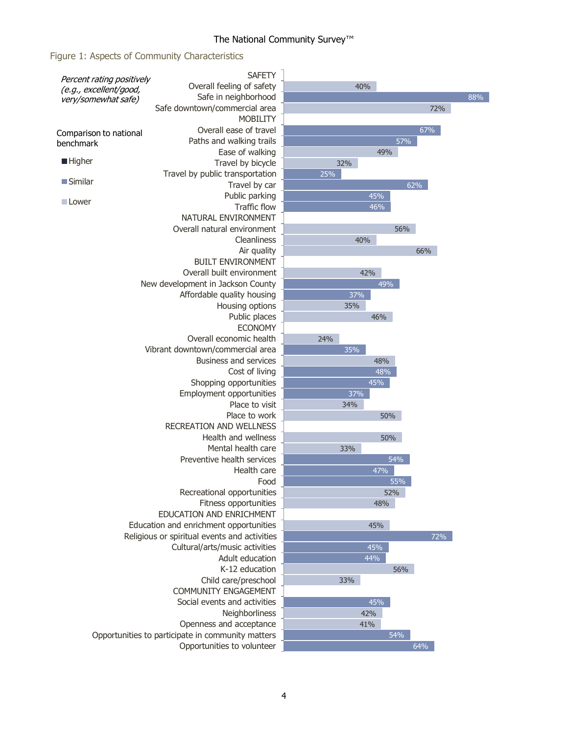### Figure 1: Aspects of Community Characteristics

|                                               | <b>SAFETY</b>                                     |     |     |     |
|-----------------------------------------------|---------------------------------------------------|-----|-----|-----|
| Percent rating positively                     | Overall feeling of safety                         | 40% |     |     |
| (e.g., excellent/good,<br>very/somewhat safe) | Safe in neighborhood                              |     |     | 88% |
|                                               | Safe downtown/commercial area                     |     | 72% |     |
|                                               | <b>MOBILITY</b>                                   |     |     |     |
|                                               | Overall ease of travel                            |     | 67% |     |
| Comparison to national<br>benchmark           | Paths and walking trails                          |     | 57% |     |
|                                               | Ease of walking                                   |     | 49% |     |
| <b>Higher</b>                                 | Travel by bicycle                                 | 32% |     |     |
|                                               | Travel by public transportation                   | 25% |     |     |
| <b>Similar</b>                                | Travel by car                                     |     | 62% |     |
|                                               | Public parking                                    | 45% |     |     |
| <b>Lower</b>                                  | <b>Traffic flow</b>                               | 46% |     |     |
|                                               | NATURAL ENVIRONMENT                               |     |     |     |
|                                               | Overall natural environment                       |     | 56% |     |
|                                               | Cleanliness                                       | 40% |     |     |
|                                               | Air quality                                       |     | 66% |     |
|                                               | <b>BUILT ENVIRONMENT</b>                          |     |     |     |
|                                               | Overall built environment                         | 42% |     |     |
|                                               | New development in Jackson County                 |     | 49% |     |
|                                               | Affordable quality housing                        | 37% |     |     |
|                                               | Housing options                                   | 35% |     |     |
|                                               | Public places                                     | 46% |     |     |
|                                               | <b>ECONOMY</b>                                    |     |     |     |
|                                               | Overall economic health                           | 24% |     |     |
|                                               | Vibrant downtown/commercial area                  | 35% |     |     |
|                                               | <b>Business and services</b>                      |     | 48% |     |
|                                               | Cost of living                                    |     | 48% |     |
|                                               | Shopping opportunities                            | 45% |     |     |
|                                               | Employment opportunities                          | 37% |     |     |
|                                               | Place to visit                                    | 34% |     |     |
|                                               | Place to work                                     |     | 50% |     |
|                                               | <b>RECREATION AND WELLNESS</b>                    |     |     |     |
|                                               | Health and wellness                               |     | 50% |     |
|                                               | Mental health care                                | 33% |     |     |
|                                               | Preventive health services                        |     | 54% |     |
|                                               | Health care                                       | 47% |     |     |
|                                               | Food                                              |     | 55% |     |
|                                               | Recreational opportunities                        |     | 52% |     |
|                                               | Fitness opportunities                             |     | 48% |     |
|                                               | EDUCATION AND ENRICHMENT                          |     |     |     |
|                                               | Education and enrichment opportunities            | 45% |     |     |
|                                               | Religious or spiritual events and activities      |     | 72% |     |
|                                               | Cultural/arts/music activities                    | 45% |     |     |
|                                               | Adult education                                   | 44% |     |     |
|                                               | K-12 education                                    |     | 56% |     |
|                                               | Child care/preschool                              | 33% |     |     |
|                                               | <b>COMMUNITY ENGAGEMENT</b>                       |     |     |     |
|                                               | Social events and activities                      | 45% |     |     |
|                                               | Neighborliness                                    | 42% |     |     |
|                                               | Openness and acceptance                           | 41% |     |     |
|                                               | Opportunities to participate in community matters |     | 54% |     |
|                                               | Opportunities to volunteer                        |     | 64% |     |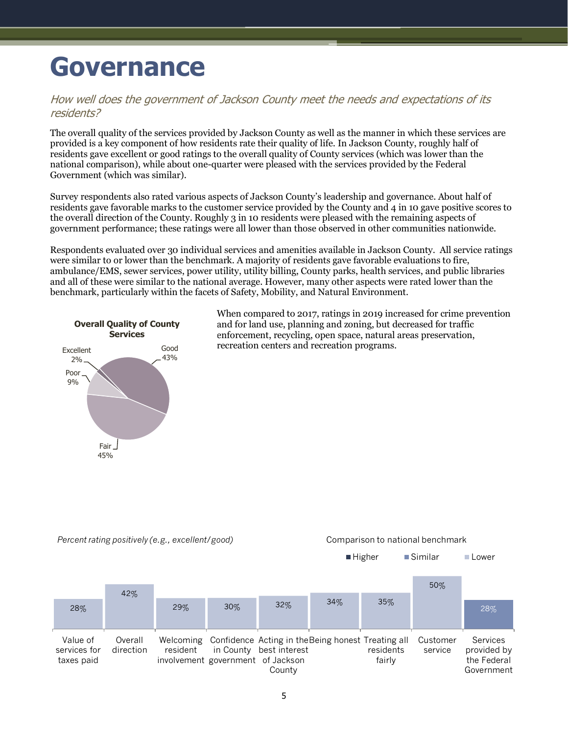## <span id="page-6-0"></span>**Governance**

### How well does the government of Jackson County meet the needs and expectations of its residents?

The overall quality of the services provided by Jackson County as well as the manner in which these services are provided is a key component of how residents rate their quality of life. In Jackson County, roughly half of residents gave excellent or good ratings to the overall quality of County services (which was lower than the national comparison), while about one-quarter were pleased with the services provided by the Federal Government (which was similar).

Survey respondents also rated various aspects of Jackson County's leadership and governance. About half of residents gave favorable marks to the customer service provided by the County and 4 in 10 gave positive scores to the overall direction of the County. Roughly 3 in 10 residents were pleased with the remaining aspects of government performance; these ratings were all lower than those observed in other communities nationwide.

Respondents evaluated over 30 individual services and amenities available in Jackson County. All service ratings were similar to or lower than the benchmark. A majority of residents gave favorable evaluations to fire, ambulance/EMS, sewer services, power utility, utility billing, County parks, health services, and public libraries and all of these were similar to the national average. However, many other aspects were rated lower than the benchmark, particularly within the facets of Safety, Mobility, and Natural Environment.



When compared to 2017, ratings in 2019 increased for crime prevention and for land use, planning and zoning, but decreased for traffic enforcement, recycling, open space, natural areas preservation, recreation centers and recreation programs.



#### *Percent rating positively (e.g., excellent/good)* Comparison to national benchmark

5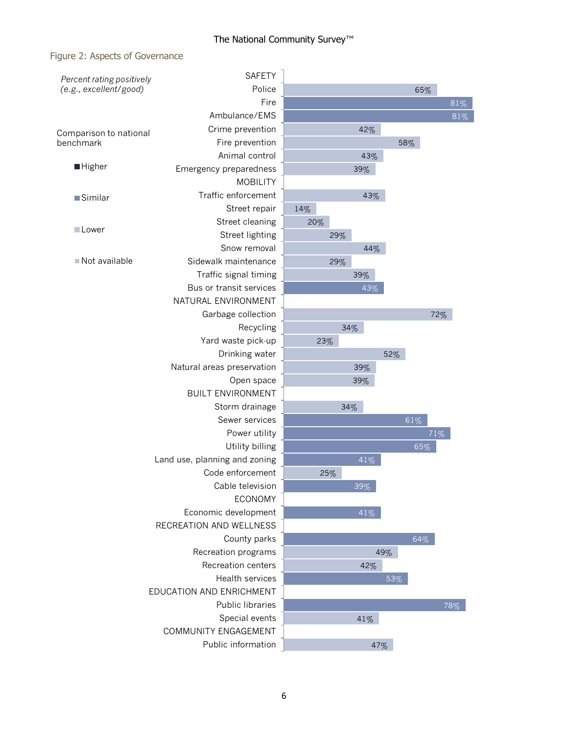## The National Community Survey<sup>™</sup>

### Figure 2: Aspects of Governance

| Percent rating positively | <b>SAFETY</b>                 |     |     |     |     |        |
|---------------------------|-------------------------------|-----|-----|-----|-----|--------|
| (e.g., excellent/good)    | Police                        |     |     |     | 65% |        |
|                           | Fire                          |     |     |     |     | $81\%$ |
|                           | Ambulance/EMS                 |     |     |     |     | 81%    |
| Comparison to national    | Crime prevention              |     | 42% |     |     |        |
| benchmark                 | Fire prevention               |     |     | 58% |     |        |
|                           | Animal control                |     | 43% |     |     |        |
| <b>Higher</b>             | Emergency preparedness        |     | 39% |     |     |        |
|                           | <b>MOBILITY</b>               |     |     |     |     |        |
| <b>Similar</b>            | Traffic enforcement           |     | 43% |     |     |        |
|                           | Street repair                 | 14% |     |     |     |        |
|                           | Street cleaning               | 20% |     |     |     |        |
| <b>Lower</b>              | Street lighting               |     | 29% |     |     |        |
|                           | Snow removal                  |     | 44% |     |     |        |
| Not available             | Sidewalk maintenance          | 29% |     |     |     |        |
|                           | Traffic signal timing         |     | 39% |     |     |        |
|                           | Bus or transit services       |     | 43% |     |     |        |
|                           | NATURAL ENVIRONMENT           |     |     |     |     |        |
|                           | Garbage collection            |     |     |     | 72% |        |
|                           | Recycling                     |     | 34% |     |     |        |
|                           | Yard waste pick-up            | 23% |     |     |     |        |
|                           | Drinking water                |     |     | 52% |     |        |
|                           | Natural areas preservation    |     | 39% |     |     |        |
|                           | Open space                    |     | 39% |     |     |        |
|                           | <b>BUILT ENVIRONMENT</b>      |     |     |     |     |        |
|                           | Storm drainage                |     | 34% |     |     |        |
|                           | Sewer services                |     |     |     | 61% |        |
|                           | Power utility                 |     |     |     | 71% |        |
|                           | Utility billing               |     |     |     | 65% |        |
|                           | Land use, planning and zoning |     | 41% |     |     |        |
|                           | Code enforcement              | 25% |     |     |     |        |
|                           | Cable television              |     | 39% |     |     |        |
|                           | <b>ECONOMY</b>                |     |     |     |     |        |
|                           | Economic development          |     | 41% |     |     |        |
|                           | RECREATION AND WELLNESS       |     |     |     |     |        |
|                           | County parks                  |     |     |     | 64% |        |
|                           | Recreation programs           |     |     | 49% |     |        |
|                           | Recreation centers            |     | 42% |     |     |        |
|                           | Health services               |     |     | 53% |     |        |
|                           | EDUCATION AND ENRICHMENT      |     |     |     |     |        |
|                           | Public libraries              |     |     |     |     | 78%    |
|                           | Special events                |     | 41% |     |     |        |
|                           | COMMUNITY ENGAGEMENT          |     |     |     |     |        |
|                           | Public information            |     |     | 47% |     |        |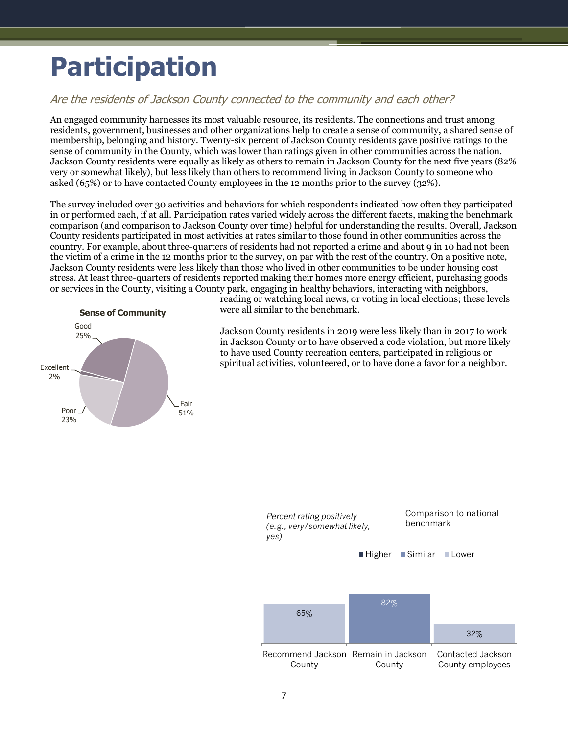## <span id="page-8-0"></span>**Participation**

### Are the residents of Jackson County connected to the community and each other?

An engaged community harnesses its most valuable resource, its residents. The connections and trust among residents, government, businesses and other organizations help to create a sense of community, a shared sense of membership, belonging and history. Twenty-six percent of Jackson County residents gave positive ratings to the sense of community in the County, which was lower than ratings given in other communities across the nation. Jackson County residents were equally as likely as others to remain in Jackson County for the next five years (82% very or somewhat likely), but less likely than others to recommend living in Jackson County to someone who asked (65%) or to have contacted County employees in the 12 months prior to the survey (32%).

The survey included over 30 activities and behaviors for which respondents indicated how often they participated in or performed each, if at all. Participation rates varied widely across the different facets, making the benchmark comparison (and comparison to Jackson County over time) helpful for understanding the results. Overall, Jackson County residents participated in most activities at rates similar to those found in other communities across the country. For example, about three-quarters of residents had not reported a crime and about 9 in 10 had not been the victim of a crime in the 12 months prior to the survey, on par with the rest of the country. On a positive note, Jackson County residents were less likely than those who lived in other communities to be under housing cost stress. At least three-quarters of residents reported making their homes more energy efficient, purchasing goods or services in the County, visiting a County park, engaging in healthy behaviors, interacting with neighbors,



reading or watching local news, or voting in local elections; these levels were all similar to the benchmark.

Jackson County residents in 2019 were less likely than in 2017 to work in Jackson County or to have observed a code violation, but more likely to have used County recreation centers, participated in religious or spiritual activities, volunteered, or to have done a favor for a neighbor.

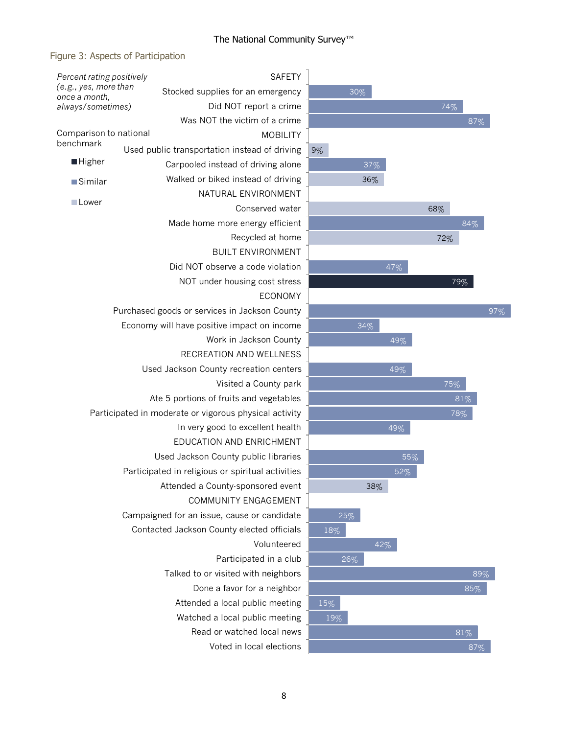## The National Community Survey<sup>™</sup>

### Figure 3: Aspects of Participation

| Percent rating positively               | <b>SAFETY</b>                                          |                 |  |  |
|-----------------------------------------|--------------------------------------------------------|-----------------|--|--|
| (e.g., yes, more than<br>once a month,  | Stocked supplies for an emergency                      |                 |  |  |
| always/sometimes)                       | Did NOT report a crime                                 |                 |  |  |
|                                         | Was NOT the victim of a crime                          |                 |  |  |
| Comparison to national                  | <b>MOBILITY</b>                                        |                 |  |  |
| benchmark                               | Used public transportation instead of driving          | 9%              |  |  |
| <b>Higher</b>                           | Carpooled instead of driving alone                     |                 |  |  |
| ■Similar                                | Walked or biked instead of driving                     |                 |  |  |
|                                         | NATURAL ENVIRONMENT                                    |                 |  |  |
| <b>Lower</b>                            | Conserved water                                        |                 |  |  |
|                                         | Made home more energy efficient                        |                 |  |  |
|                                         | Recycled at home                                       |                 |  |  |
|                                         | <b>BUILT ENVIRONMENT</b>                               |                 |  |  |
|                                         | Did NOT observe a code violation                       |                 |  |  |
|                                         | NOT under housing cost stress                          |                 |  |  |
|                                         | <b>ECONOMY</b>                                         |                 |  |  |
|                                         | Purchased goods or services in Jackson County          |                 |  |  |
|                                         | Economy will have positive impact on income            |                 |  |  |
|                                         | Work in Jackson County                                 |                 |  |  |
|                                         | RECREATION AND WELLNESS                                |                 |  |  |
|                                         | Used Jackson County recreation centers                 |                 |  |  |
|                                         | Visited a County park                                  |                 |  |  |
| Ate 5 portions of fruits and vegetables |                                                        |                 |  |  |
|                                         | Participated in moderate or vigorous physical activity |                 |  |  |
| In very good to excellent health        |                                                        |                 |  |  |
|                                         | EDUCATION AND ENRICHMENT                               |                 |  |  |
|                                         | Used Jackson County public libraries                   |                 |  |  |
|                                         | Participated in religious or spiritual activities      |                 |  |  |
|                                         | Attended a County-sponsored event                      |                 |  |  |
|                                         | COMMUNITY ENGAGEMENT                                   |                 |  |  |
|                                         | Campaigned for an issue, cause or candidate            |                 |  |  |
|                                         | Contacted Jackson County elected officials             | $\mathbf{1}$    |  |  |
|                                         | Volunteered                                            |                 |  |  |
|                                         | Participated in a club                                 |                 |  |  |
|                                         | Talked to or visited with neighbors                    |                 |  |  |
|                                         | Done a favor for a neighbor                            |                 |  |  |
|                                         | Attended a local public meeting                        | 15 <sup>°</sup> |  |  |
|                                         | Watched a local public meeting                         | 1               |  |  |
|                                         | Read or watched local news                             |                 |  |  |
|                                         | Voted in local elections                               |                 |  |  |

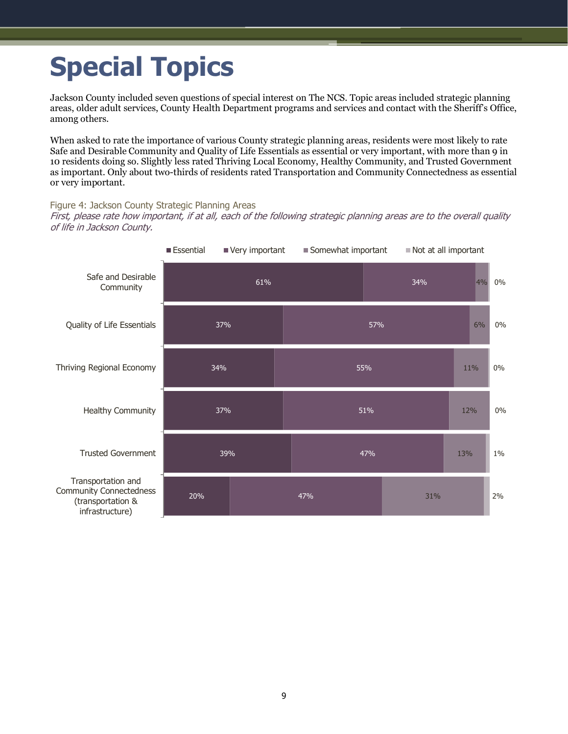# <span id="page-10-0"></span>**Special Topics**

Jackson County included seven questions of special interest on The NCS. Topic areas included strategic planning areas, older adult services, County Health Department programs and services and contact with the Sheriff's Office, among others.

When asked to rate the importance of various County strategic planning areas, residents were most likely to rate Safe and Desirable Community and Quality of Life Essentials as essential or very important, with more than 9 in 10 residents doing so. Slightly less rated Thriving Local Economy, Healthy Community, and Trusted Government as important. Only about two-thirds of residents rated Transportation and Community Connectedness as essential or very important.

#### Figure 4: Jackson County Strategic Planning Areas

First, please rate how important, if at all, each of the following strategic planning areas are to the overall quality of life in Jackson County.

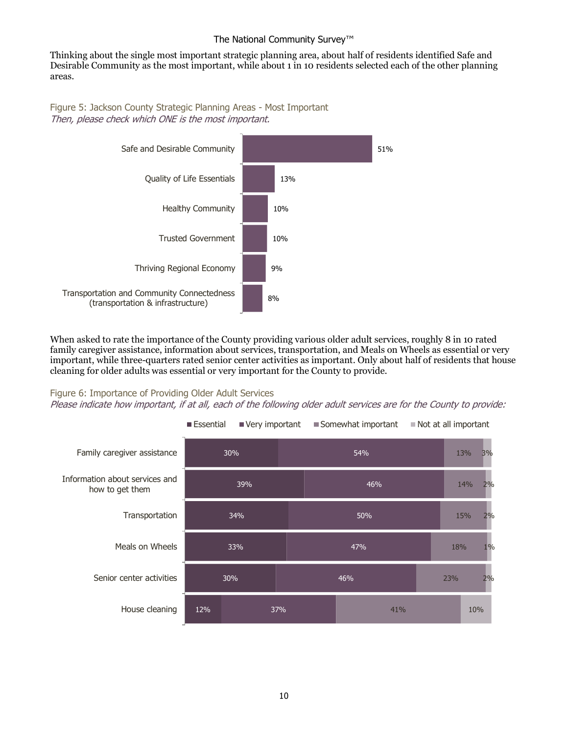Thinking about the single most important strategic planning area, about half of residents identified Safe and Desirable Community as the most important, while about 1 in 10 residents selected each of the other planning areas.

Figure 5: Jackson County Strategic Planning Areas - Most Important Then, please check which ONE is the most important.



When asked to rate the importance of the County providing various older adult services, roughly 8 in 10 rated family caregiver assistance, information about services, transportation, and Meals on Wheels as essential or very important, while three-quarters rated senior center activities as important. Only about half of residents that house cleaning for older adults was essential or very important for the County to provide.

#### Figure 6: Importance of Providing Older Adult Services

Please indicate how important, if at all, each of the following older adult services are for the County to provide:

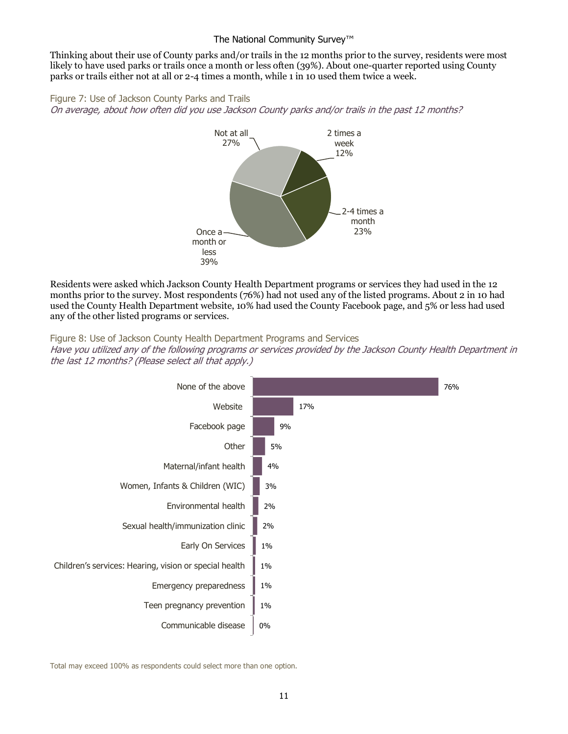Thinking about their use of County parks and/or trails in the 12 months prior to the survey, residents were most likely to have used parks or trails once a month or less often (39%). About one-quarter reported using County parks or trails either not at all or 2-4 times a month, while 1 in 10 used them twice a week.

Figure 7: Use of Jackson County Parks and Trails On average, about how often did you use Jackson County parks and/or trails in the past 12 months?



Residents were asked which Jackson County Health Department programs or services they had used in the 12 months prior to the survey. Most respondents (76%) had not used any of the listed programs. About 2 in 10 had used the County Health Department website, 10% had used the County Facebook page, and 5% or less had used any of the other listed programs or services.

#### Figure 8: Use of Jackson County Health Department Programs and Services

Have you utilized any of the following programs or services provided by the Jackson County Health Department in the last 12 months? (Please select all that apply.)



Total may exceed 100% as respondents could select more than one option.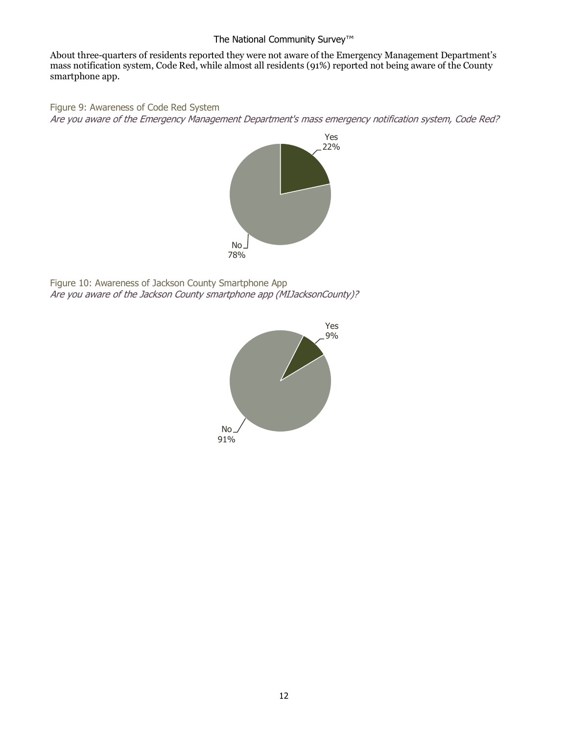About three-quarters of residents reported they were not aware of the Emergency Management Department's mass notification system, Code Red, while almost all residents (91%) reported not being aware of the County smartphone app.

Figure 9: Awareness of Code Red System

Are you aware of the Emergency Management Department's mass emergency notification system, Code Red?



Figure 10: Awareness of Jackson County Smartphone App Are you aware of the Jackson County smartphone app (MIJacksonCounty)?

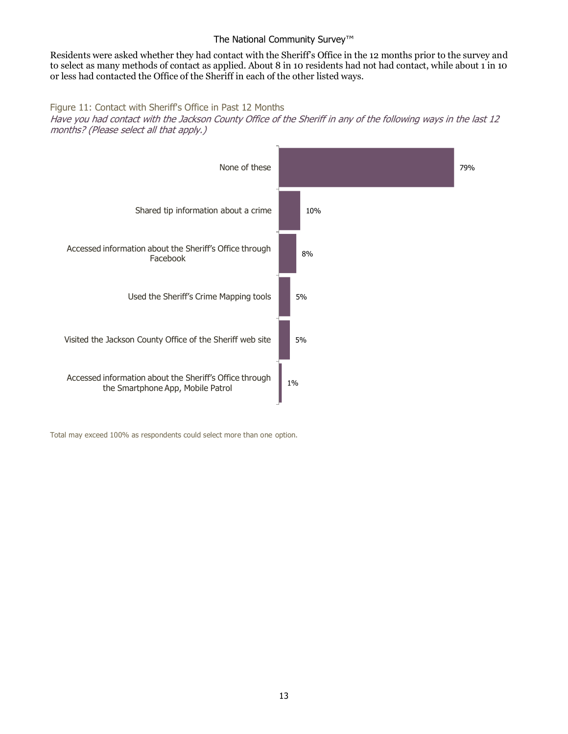Residents were asked whether they had contact with the Sheriff's Office in the 12 months prior to the survey and to select as many methods of contact as applied. About 8 in 10 residents had not had contact, while about 1 in 10 or less had contacted the Office of the Sheriff in each of the other listed ways.

#### Figure 11: Contact with Sheriff's Office in Past 12 Months

Have you had contact with the Jackson County Office of the Sheriff in any of the following ways in the last 12 months? (Please select all that apply.)



Total may exceed 100% as respondents could select more than one option.